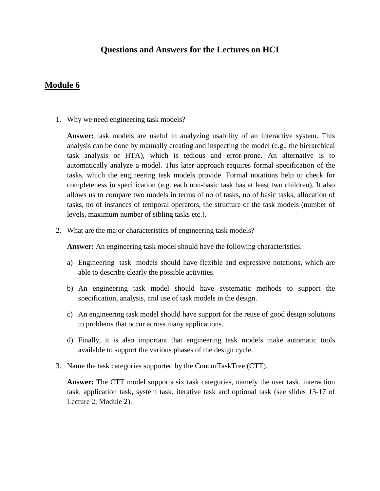## **Questions and Answers for the Lectures on HCI**

## **Module 6**

1. Why we need engineering task models?

**Answer:** task models are useful in analyzing usability of an interactive system. This analysis can be done by manually creating and inspecting the model (e.g., the hierarchical task analysis or HTA), which is tedious and error-prone. An alternative is to automatically analyze a model. This later approach requires formal specification of the tasks, which the engineering task models provide. Formal notations help to check for completeness in specification (e.g. each non-basic task has at least two children). It also allows us to compare two models in terms of no of tasks, no of basic tasks, allocation of tasks, no of instances of temporal operators, the structure of the task models (number of levels, maximum number of sibling tasks etc.).

2. What are the major characteristics of engineering task models?

**Answer:** An engineering task model should have the following characteristics.

- a) Engineering task models should have flexible and expressive notations, which are able to describe clearly the possible activities.
- b) An engineering task model should have systematic methods to support the specification, analysis, and use of task models in the design.
- c) An engineering task model should have support for the reuse of good design solutions to problems that occur across many applications.
- d) Finally, it is also important that engineering task models make automatic tools available to support the various phases of the design cycle.
- 3. Name the task categories supported by the ConcurTaskTree (CTT).

**Answer:** The CTT model supports six task categories, namely the user task, interaction task, application task, system task, iterative task and optional task (see slides 13-17 of Lecture 2, Module 2).